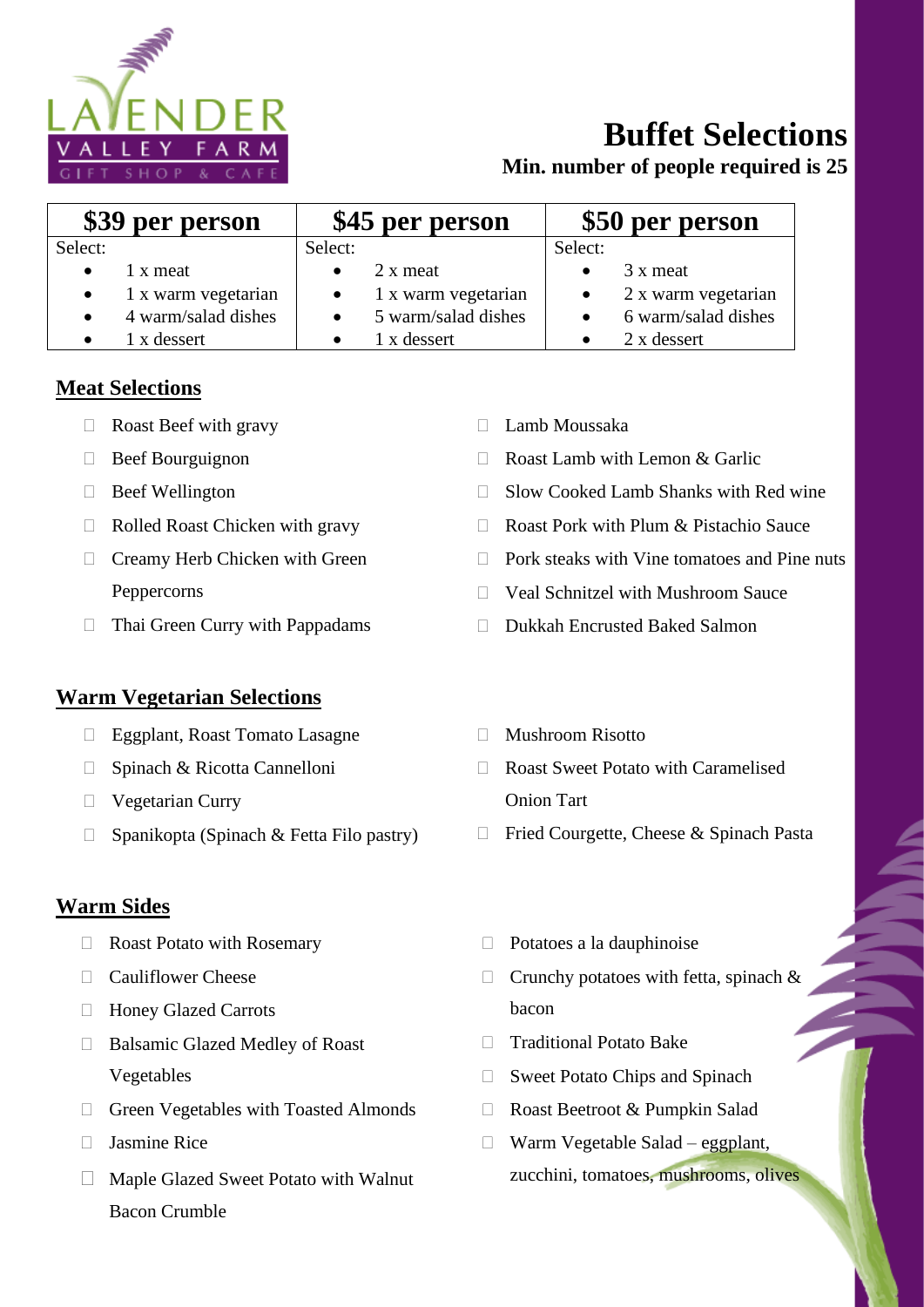

# **Buffet Selections**

**Min. number of people required is 25**

| \$39 per person |                               | \$45 per person |                               | \$50 per person |                               |
|-----------------|-------------------------------|-----------------|-------------------------------|-----------------|-------------------------------|
| Select:         |                               | Select:         |                               | Select:         |                               |
| $\bullet$       | 1 x meat                      | $\bullet$       | 2 x meat                      |                 | 3 x meat                      |
|                 | $\bullet$ 1 x warm vegetarian |                 | $\bullet$ 1 x warm vegetarian |                 | $\bullet$ 2 x warm vegetarian |
| $\bullet$       | 4 warm/salad dishes           |                 | $\bullet$ 5 warm/salad dishes |                 | 6 warm/salad dishes           |
|                 | 1 x dessert                   |                 | 1 x dessert                   |                 | 2 x dessert                   |

### **Meat Selections**

- Roast Beef with gravy
- $\Box$  Beef Bourguignon
- $\Box$  Beef Wellington
- $\Box$  Rolled Roast Chicken with gravy
- □ Creamy Herb Chicken with Green Peppercorns
- $\Box$  Thai Green Curry with Pappadams

#### **Warm Vegetarian Selections**

- Eggplant, Roast Tomato Lasagne
- □ Spinach & Ricotta Cannelloni
- Vegetarian Curry
- $\Box$  Spanikopta (Spinach & Fetta Filo pastry)

#### **Warm Sides**

- □ Roast Potato with Rosemary
- □ Cauliflower Cheese
- Honey Glazed Carrots
- □ Balsamic Glazed Medley of Roast Vegetables
- □ Green Vegetables with Toasted Almonds
- $\Box$  Iasmine Rice
- Maple Glazed Sweet Potato with Walnut Bacon Crumble
- Lamb Moussaka
- $\Box$  Roast Lamb with Lemon & Garlic
- $\Box$  Slow Cooked Lamb Shanks with Red wine
- □ Roast Pork with Plum & Pistachio Sauce
- $\Box$  Pork steaks with Vine tomatoes and Pine nuts
- □ Veal Schnitzel with Mushroom Sauce
- Dukkah Encrusted Baked Salmon
- Mushroom Risotto
- Roast Sweet Potato with Caramelised Onion Tart
- $\Box$  Fried Courgette, Cheese & Spinach Pasta
- $\Box$  Potatoes a la dauphinoise
- $\Box$  Crunchy potatoes with fetta, spinach & bacon
- □ Traditional Potato Bake
- □ Sweet Potato Chips and Spinach
- □ Roast Beetroot & Pumpkin Salad
- $\Box$  Warm Vegetable Salad eggplant, zucchini, tomatoes, mushrooms, olives